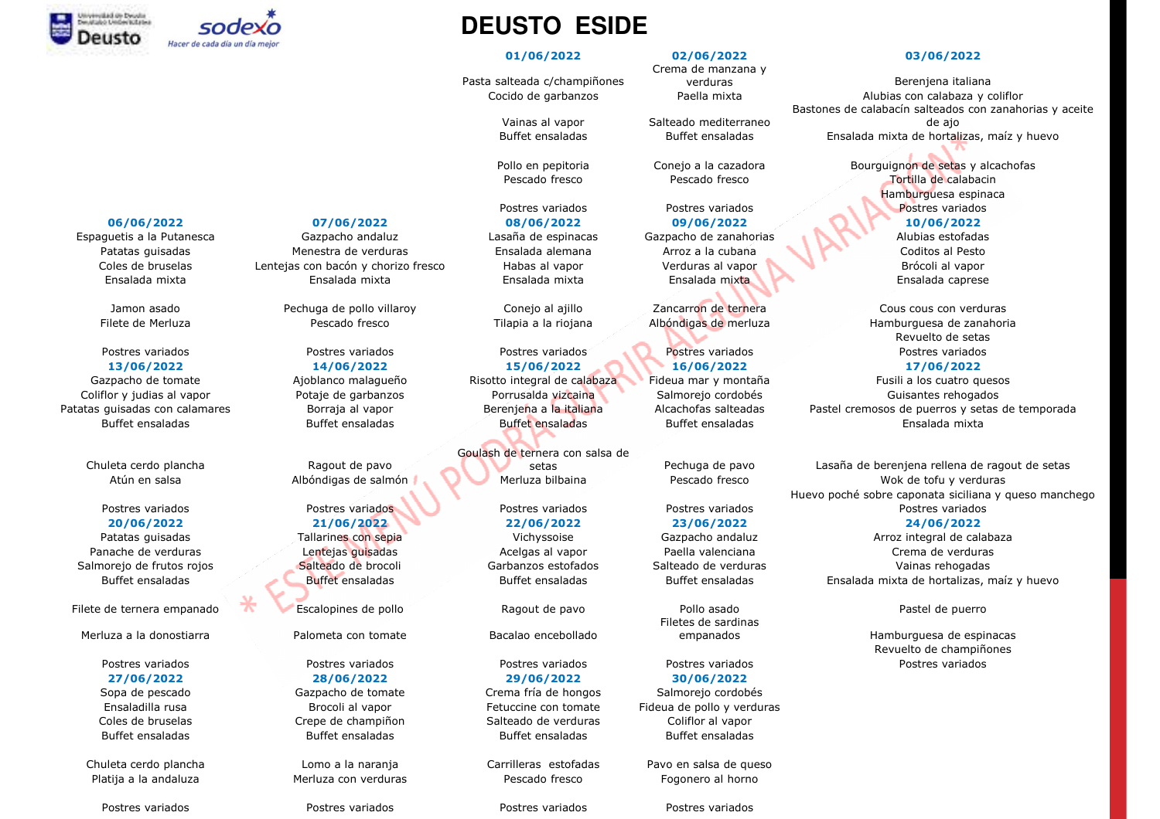



Chuleta cerdo plancha<br>Atún en salsa **Ragout de Salmón** 

Merluza a la donostiarra Palometa con tomate Bacalao encebollado

Espaguetis a la Putanesca Gazpacho andaluz Lasaña de espinacas Gazpacho de zanahorias Alubias estofadas Patatas guisadas Menestra de verduras Ensalada alemana Arroz a la cubana Coditos al Pesto Coles de bruselas Coles de bruselas Coles de bruselas con bacón y chorizo fresco de Habas al vapor verduras al vapor<br>Coles de Brócoli al vapor de Brócoli al vapor de Brocoli al vapor de Brocoli al vapor de Brócoli al vapor Ensalada mixta Ensalada mixta Ensalada mixta Ensalada mixta Ensalada caprese

Jamon asado Pechuga de pollo villaroy Conejo al ajillo Zancarron de ternera Cous cous con verduras

## Postres variados en extres variados en extres variados en extres variados en extres variados en extres variados<br>Postres para en extres variados en extres variados en extres variados en extres variados en extres variados en **20/06/2022 21/06/2022 22/06/2022 23/06/2022 24/06/2022**

Coles de bruselas Coliflor and Crepe de champiñon de Salteado de verduras Coliflor al vapor<br>Suffet ancaladas Coliflor al vapor Ruffet ancaladas Coliflor al vapor Ruffet ancaladas Buffet ensaladas Buffet ensaladas Buffet ensaladas Buffet ensaladas

Chuleta cerdo plancha Lomo a la naranja Carrilleras estofadas Pavo en salsa de queso Platija a la andaluza horno Merluza con verduras horno escado fresco composito e progonero al horno poste e pr<br>Nota

Postres variados *Postres variados* Postres variados en Postres variados en Postres variados

## **DEUSTO ESIDE**

Pasta salteada c/champiñones

Postres variados en postres variados en postres variados en postres variados en postres variados en postres variados<br>De capacidades en postres de la capacidad en el postres variados en el postres variados en el postres var **13/06/2022 14/06/2022 15/06/2022 16/06/2022 17/06/2022** Buffet ensaladas and Buffet ensaladas Buffet ensaladas Buffet ensaladas Buffet ensaladas ensalada mixta

> Goulash de ternera con salsa de setas

# **27/06/2022 28/06/2022 29/06/2022 30/06/2022** Sopa de pescado Gazpacho de tomate Crema fría de hongos Salmorejo cordobés

## **01/06/2022 02/06/2022 03/06/2022**

Crema de manzana y verduras

Vainas al vapor Salteado mediterraneo<br>Buffet ensaladas Buffet ensaladas

Postres variados en Postres variados en la provincia de la provincia de la provincia de la provincia de la pro<br>Postres variados en la provincia de la provincia de la provincia de la provincia de la provincia de la provinc **06/06/2022 07/06/2022 08/06/2022 09/06/2022 10/06/2022**

Filete de ternera empanado Escalopines de pollo e escalopo Ragout de pavo Pollo asado Pollo Associal Pastel de puerro<br>Filete de sardinas Filetes de sardinas

# Postres variados Postres variados Postres variados Postres variados Postres variados Ensaladilla rusa Brocoli al vapor Fetuccine con tomate Fideua de pollo y verduras

 Berenjena italianaAlubias con calabaza y coliflor Cocido de garbanzos Paella mixta Alubias con calabaza y coliflor Bastones de calabacín salteados con zanahorias y aceite de ajoBuffet ensaladas Buffet ensaladas Ensalada mixta de hortalizas, maíz y huevo

Pollo en pepitoria Conejo a la cazadora Bourguignon de setas y alcachofas<br>Pescado fresco Pescado fresco **Tortilla de calabacin** Pescado fresco Pescado fresco e portuguado Tortilla de calabacin<br>Pescado fresco Hamburguesa espinaca

Filete de Merluza **Electe de Senado fresco de Alexandria E**ntigana de Albóndigas de merluza **Filete de Albóndigas de Albóndigas de Albóndigas de Albóndigas de Merluza de zanahoria**<br>Pouvelte de setas Revuelto de setasPostres variados

Gazpacho de tomate — Ajoblanco malagueño — Risotto integral de calabaza Fideua mar y montaña — Fusili a los cuatro quesos<br>Nifles viudios al vanor — Retain de aastanzes — Retaineda vizcaina — Salmersia cardebés — Cuisantes Coliflor y judias al vapor **Exercía de Potaje de garbanzos** Porrusalda vizcaina Salmorejo cordobés Guisantes rehogados<br>Coliflor de la portal de portal de la portal de la portal de la provinció de la probabilidad de la port Patatas guisadas con calamares a precesia al vapor Borraja al vapor Berenjena a la italiana Alcachofas salteadas Pastel cremosos de puerros y setas de temporada Buffet ensaladas Buffet ensaladas Buffet ensaladas Buffet ens

 Pechuga de pavo Lasaña de berenjena rellena de ragout de setas Atún en salsa Merluza bilbaina (Albóndigas de salmón Merluza bilbaina Merluza bilbaina en escado fresco Mok de tofu y verduras verduras verduras (Albóndigas de salmón Merluza bilbaina Merluza bilbaina Merluza bilbaina verd Huevo poché sobre caponata siciliana y queso manchego

Patatas guisadas Tallarines con sepia Vichyssoise Gazpacho andaluz Arroz integral de calabaza Panache de verduras in contraste de lentejas guisadas in acelgas al vapor in Paella valenciana contraste crema de verduras in Crema de verduras estatunidade positiva de verduras de verduras estatunidades estatunas de verdu Salmorejo de frutos rojos **Salteado de brocoli Salteado Garbanzos** estofados Salteado de verduras Vainas rehogadas<br>Ruffot ancelados Duffot ancelados Duffot ancelados Buffot ancelados Buffot ancelados Buffot ancelados Encel Buffet ensaladas Buffet ensaladas Buffet ensaladas Buffet ensaladas Buffet ensaladas Ensalada mixta de hortalizas, maíz y huevo

empanados Hamburguesa de espinacas Revuelto de champiñones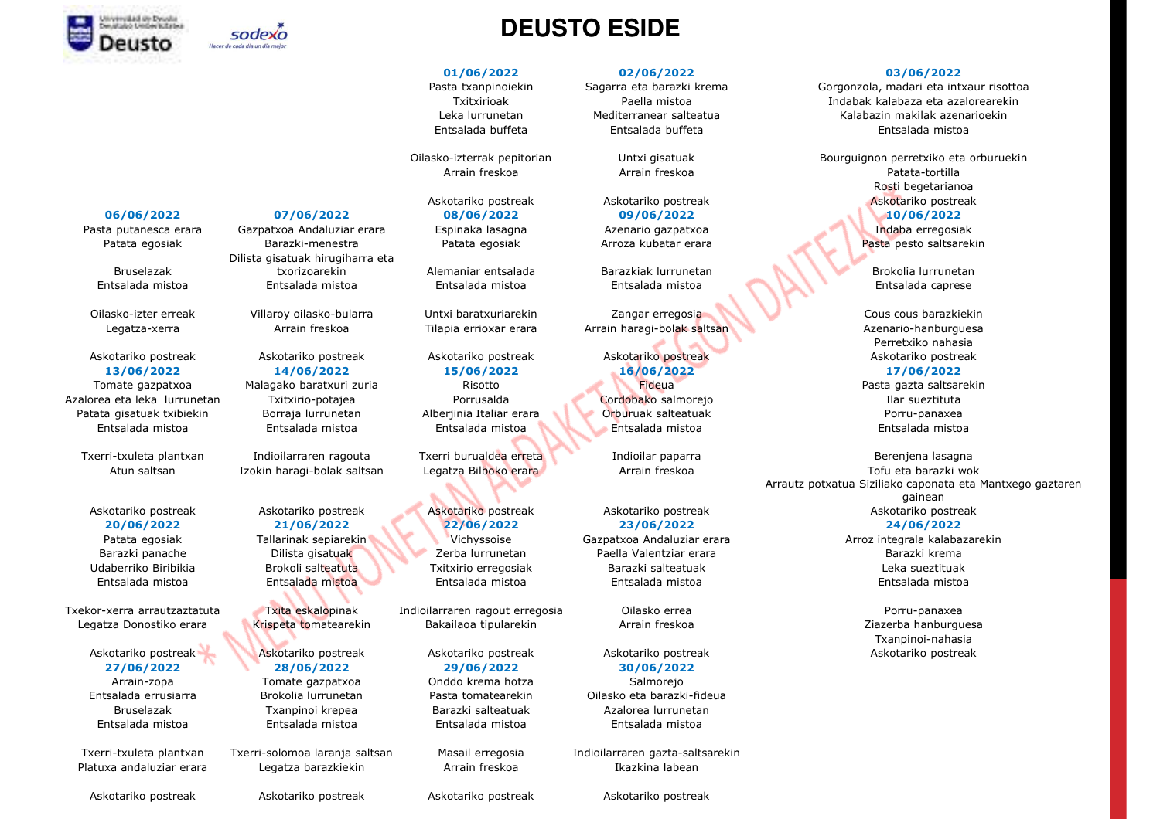



BruselazakEntsalada mistoa

Azalorea eta leka lurrunetan Txitxirio-potajea Porrusalda Cordobako salmorejo Ilar sueztituta Patata gisatuak txibiekin borraja lurrunetan Alberjinia Italiar erara Orburuak salteatuak Porru-panaxea<br>Enterlada mistoria Botsalada mistoria Botsalada mistoria Enterlada mistoria enterlada mistoria enterlada misto

Pasta putanesca erara Gazpatxoa Andaluziar erara Espinaka lasagna Azenario gazpatxoa Indaba erregosiak Patata egosiak Barazki-menestra Patata egosiak Arroza kubatar erara Pasta pesto saltsarekin<br>Pasta pesto saltsarekin Dilista gisatuak hirugiharra eta txorizoarekinEntsalada mistoa Entsalada mistoa Entsalada mistoa Entsalada mistoa Entsalada caprese

Askotariko postreak Askotariko postreak Askotariko postreak Askotariko postreak Askotariko postreak **13/06/2022 14/06/2022 15/06/2022 16/06/2022 17/06/2022** Tomate gazpatxoa Malagako baratxuri zuria Risotto Fideua Pasta gazta saltsarekin

Askotariko postreak Askotariko postreak Askotariko postreak Askotariko postreak Askotariko postreak **27/06/2022 28/06/2022 29/06/2022 30/06/2022**

Platuxa andaluziar erara Legatza barazkiekin Arrain freskoa Ikazkina labean

## **DEUSTO ESIDE**

Entsalada mistoa entsalada mistoa entsalada Entsalada mistoa entsalada mistoa entsalada mistoa entsalada mistoa<br>Entsalada mistoa entsalada mistoa entsalada mistoa entsalada mistoa entsalada mistoa entsalada mistoa entsalad

Txekor-xerra arrautzaztatuta Txita eskalopinak Indioilarraren ragout erregosia Oilasko errea Porru-panaxea

Arrain-zopa Tomate gazpatxoa Onddo krema hotza Salmorejo

## **01/06/2022 02/06/2022 03/06/2022**

**06/06/2022 07/06/2022 08/06/2022 09/06/2022 10/06/2022**

n alemaniar entsalada Barazkiak lurrunetan Brokolia lurrunetan Brokolia lurrunetan Brokolia lurrunetan Brokolia lurrunetan Brokolia lurrunetan Brokolia lurrunetan Brokolia lurrunetan Brokolia lurrunetan Brokolia lurrunetan

Oilasko-izter erreak Villaroy oilasko-bularra Untxi baratxuriarekin Zangar erregosia (Untxi barazkiekin Cous cous barazkiekin Zangar erregosia Cous cous barazkiekin Cous cous barazkiekin (Untxi barazkiekin zubarazkiekin zu

Askotariko postreak askotariko postreak Askotariko postreak Askotariko postreak Askotariko postreak Askotariko<br>22/06/2022 م 1/06/2022 م 22/06/2022 م 22/06/2022 م 22/06/2022 م 22/06/2023 م 24/06/2022 **20/06/2022 21/06/2022 22/06/2022 23/06/2022 24/06/2022** Barazki panache Dilista gisatuak Zerba lurrunetan Paella Valentziar erara Barazki krema Udaberriko Biribikia Brokoli salteatuta Txitxirio erregosiak Barazki salteatuak Leka sueztituak

Entsalada errusiarra Brokolia lurrunetan Pasta tomatearekin Oilasko eta barazki-fideua Bruselazak Txanpinoi krepea Barazki salteatuak Azalorea lurrunetan Entsalada mistoa Entsalada mistoa Entsalada mistoa Entsalada mistoa

Txerri-txuleta plantxan Txerri-solomoa laranja saltsan Masail erregosia Indioilarraren gazta-saltsarekin<br>Platuxa andaluziar erara Legatza barazkiekin Arrain freskoa Ikazkina labean

Askotariko postreak Askotariko postreak Askotariko postreak Askotariko postreak

Pasta txanpinoiekin Sagarra eta barazki krema Gorgonzola, madari eta intxaur risottoa<br>Tadabak kalabaza eta azalorearekin Txitxirioak **Indabak kalabaza eta azalorearekin**<br>Indabak kalabaza eta azalorearekin kalabazin makilak azenarioekin Leka lurrunetan Mediterranear salteatua Kalabazin makilak azenarioekin Entsalada buffeta Entsalada buffeta Entsalada mistoa

Oilasko-izterrak pepitorian Untxi gisatuak Bourguignon perretxiko eta orburuekin<br>Arrain freskoa Arrain freskoa Arrain freskoa Batata-tortilla Arrain freskoa Arrain freskoa Patata-tortilla Rosti begetarianoaAskotariko postreak Askotariko postreak Askotariko postreak Askotariko postreak Askotariko postreak<br>Askotariko postreak Askotariko postreak Askotariko postreak Askotariko postreak

Legatza-xerra Arrain freskoa Tilapia errioxar erara Arrain haragi-bolak saltsan Azenario-hanburguesa Perretxiko nahasiaAskotariko postreak

Txerri-txuleta plantxan Indioilarraren ragouta Txerri burualdea erreta Indioilar paparra indioilar experiena lasagna<br>Atun caltean India barazi bolak saltean Legatza Bilbeke erata Music Arrai freekea . Atun saltsan Izokin haragi-bolak saltsan Legatza Bilboko erara Arrain freskoa Arrautz potxatua Siziliako caponata eta Mantxego gaztaren Arrain freskoa Arrautz potxatua Siziliako caponata e gainean Askotariko postreak

Patata egosiak Tallarinak sepiarekin Vichyssoise Gazpatxoa Andaluziar erara Arroz integrala kalabazarekin Entsalada mistoa heren entsalada mistoa heren Entsalada mistoa heren entsalada mistoa entsalada mistoa entsalada mistoa<br>Entsalada mistoa heren Entsalada mistoa

Legatza Donostiko erara Krispeta tomatearekin Bakailaoa tipularekin Arrain freskoa ziazerba ziazerba hanburguesa<br>Arrain Arrainei anharia Txanpinoi-nahasiaAskotariko postreak